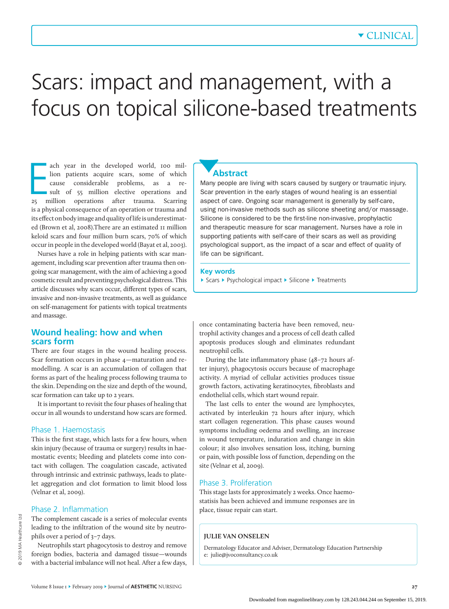# Scars: impact and management, with a focus on topical silicone-based treatments

ach year in the developed world, 100 million patients acquire scars, some of which cause considerable problems, as a result of 55 million elective operations and 25 million operations after trauma. Scarring ach year in the developed world, 100 million patients acquire scars, some of which cause considerable problems, as a result of 55 million elective operations and is a physical consequence of an operation or trauma and its effect on body image and quality of life is underestimated (Brown et al, 2008).There are an estimated 11 million keloid scars and four million burn scars, 70% of which occur in people in the developed world (Bayat et al, 2003).

Nurses have a role in helping patients with scar management, including scar prevention after trauma then ongoing scar management, with the aim of achieving a good cosmetic result and preventing psychological distress. This article discusses why scars occur, different types of scars, invasive and non-invasive treatments, as well as guidance on self-management for patients with topical treatments and massage.

# **Wound healing: how and when scars form**

There are four stages in the wound healing process. Scar formation occurs in phase 4—maturation and remodelling. A scar is an accumulation of collagen that forms as part of the healing process following trauma to the skin. Depending on the size and depth of the wound, scar formation can take up to 2 years.

It is important to revisit the four phases of healing that occur in all wounds to understand how scars are formed.

### Phase 1. Haemostasis

This is the first stage, which lasts for a few hours, when skin injury (because of trauma or surgery) results in haemostatic events; bleeding and platelets come into contact with collagen. The coagulation cascade, activated through intrinsic and extrinsic pathways, leads to platelet aggregation and clot formation to limit blood loss (Velnar et al, 2009).

### Phase 2. Inflammation

The complement cascade is a series of molecular events leading to the infiltration of the wound site by neutrophils over a period of 3–7 days.

Neutrophils start phagocytosis to destroy and remove foreign bodies, bacteria and damaged tissue—wounds with a bacterial imbalance will not heal. After a few days,

# **Abstract**

Many people are living with scars caused by surgery or traumatic injury. Scar prevention in the early stages of wound healing is an essential aspect of care. Ongoing scar management is generally by self-care, using non-invasive methods such as silicone sheeting and/or massage. Silicone is considered to be the first-line non-invasive, prophylactic and therapeutic measure for scar management. Nurses have a role in supporting patients with self-care of their scars as well as providing psychological support, as the impact of a scar and effect of quality of life can be significant.

#### **Key words**

► Scars ► Psychological impact ► Silicone ► Treatments

once contaminating bacteria have been removed, neutrophil activity changes and a process of cell death called apoptosis produces slough and eliminates redundant neutrophil cells.

During the late inflammatory phase (48–72 hours after injury), phagocytosis occurs because of macrophage activity. A myriad of cellular activities produces tissue growth factors, activating keratinocytes, fibroblasts and endothelial cells, which start wound repair.

The last cells to enter the wound are lymphocytes, activated by interleukin 72 hours after injury, which start collagen regeneration. This phase causes wound symptoms including oedema and swelling, an increase in wound temperature, induration and change in skin colour; it also involves sensation loss, itching, burning or pain, with possible loss of function, depending on the site (Velnar et al, 2009).

# Phase 3. Proliferation

This stage lasts for approximately 2 weeks. Once haemostatisis has been achieved and immune responses are in place, tissue repair can start.

### **JULIE VAN ONSELEN**

Dermatology Educator and Adviser, Dermatology Education Partnership e: julie@jvoconsultancy.co.uk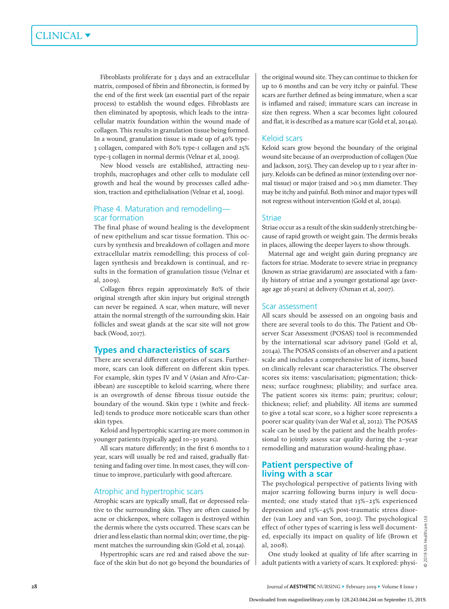Fibroblasts proliferate for 3 days and an extracellular matrix, composed of fibrin and fibronectin, is formed by the end of the first week (an essential part of the repair process) to establish the wound edges. Fibroblasts are then eliminated by apoptosis, which leads to the intracellular matrix foundation within the wound made of collagen. This results in granulation tissue being formed. In a wound, granulation tissue is made up of 40% type-3 collagen, compared with 80% type-1 collagen and 25% type-3 collagen in normal dermis (Velnar et al, 2009).

New blood vessels are established, attracting neutrophils, macrophages and other cells to modulate cell growth and heal the wound by processes called adhesion, traction and epithelialisation (Velnar et al, 2009).

## Phase 4. Maturation and remodelling scar formation

The final phase of wound healing is the development of new epithelium and scar tissue formation. This occurs by synthesis and breakdown of collagen and more extracellular matrix remodelling; this process of collagen synthesis and breakdown is continual, and results in the formation of granulation tissue (Velnar et al, 2009).

Collagen fibres regain approximately 80% of their original strength after skin injury but original strength can never be regained. A scar, when mature, will never attain the normal strength of the surrounding skin. Hair follicles and sweat glands at the scar site will not grow back (Wood, 2017).

# **Types and characteristics of scars**

There are several different categories of scars. Furthermore, scars can look different on different skin types. For example, skin types IV and V (Asian and Afro-Caribbean) are susceptible to keloid scarring, where there is an overgrowth of dense fibrous tissue outside the boundary of the wound. Skin type 1 (white and freckled) tends to produce more noticeable scars than other skin types.

Keloid and hypertrophic scarring are more common in younger patients (typically aged 10–30 years).

All scars mature differently; in the first 6 months to 1 year, scars will usually be red and raised, gradually flattening and fading over time. In most cases, they will continue to improve, particularly with good aftercare.

## Atrophic and hypertrophic scars

Atrophic scars are typically small, flat or depressed relative to the surrounding skin. They are often caused by acne or chickenpox, where collagen is destroyed within the dermis where the cysts occurred. These scars can be drier and less elastic than normal skin; over time, the pigment matches the surrounding skin (Gold et al, 2014a).

Hypertrophic scars are red and raised above the surface of the skin but do not go beyond the boundaries of the original wound site. They can continue to thicken for up to 6 months and can be very itchy or painful. These scars are further defined as being immature, when a scar is inflamed and raised; immature scars can increase in size then regress. When a scar becomes light coloured and flat, it is described as a mature scar (Gold et al, 2014a).

## Keloid scars

Keloid scars grow beyond the boundary of the original wound site because of an overproduction of collagen (Xue and Jackson, 2015). They can develop up to 1 year after injury. Keloids can be defined as minor (extending over normal tissue) or major (raised and >0.5 mm diameter. They may be itchy and painful. Both minor and major types will not regress without intervention (Gold et al, 2014a).

#### **Striae**

Striae occur as a result of the skin suddenly stretching because of rapid growth or weight gain. The dermis breaks in places, allowing the deeper layers to show through.

Maternal age and weight gain during pregnancy are factors for striae. Moderate to severe striae in pregnancy (known as striae gravidarum) are associated with a family history of striae and a younger gestational age (average age 26 years) at delivery (Osman et al, 2007).

#### Scar assessment

All scars should be assessed on an ongoing basis and there are several tools to do this. The Patient and Observer Scar Assessment (POSAS) tool is recommended by the international scar advisory panel (Gold et al, 2014a). The POSAS consists of an observer and a patient scale and includes a comprehensive list of items, based on clinically relevant scar characteristics. The observer scores six items: vascularisation; pigmentation; thickness; surface roughness; pliability; and surface area. The patient scores six items: pain; pruritus; colour; thickness; relief; and pliability. All items are summed to give a total scar score, so a higher score represents a poorer scar quality (van der Wal et al, 2012). The POSAS scale can be used by the patient and the health professional to jointly assess scar quality during the 2–year remodelling and maturation wound-healing phase.

# **Patient perspective of living with a scar**

The psychological perspective of patients living with major scarring following burns injury is well documented; one study stated that 13%–23% experienced depression and 13%–45% post-traumatic stress disorder (van Loey and van Son, 2003). The psychological effect of other types of scarring is less well documented, especially its impact on quality of life (Brown et al, 2008).

One study looked at quality of life after scarring in adult patients with a variety of scars. It explored: physi-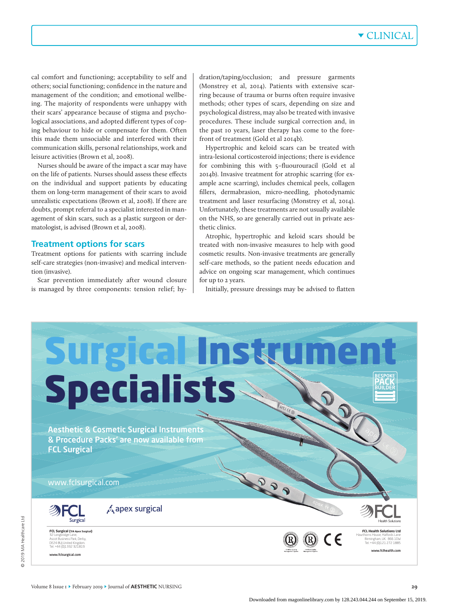# ▼ CLINICAL

cal comfort and functioning; acceptability to self and others; social functioning; confidence in the nature and management of the condition; and emotional wellbeing. The majority of respondents were unhappy with their scars' appearance because of stigma and psychological associations, and adopted different types of coping behaviour to hide or compensate for them. Often this made them unsociable and interfered with their communication skills, personal relationships, work and leisure activities (Brown et al, 2008).

Nurses should be aware of the impact a scar may have on the life of patients. Nurses should assess these effects on the individual and support patients by educating them on long-term management of their scars to avoid unrealistic expectations (Brown et al, 2008). If there are doubts, prompt referral to a specialist interested in management of skin scars, such as a plastic surgeon or dermatologist, is advised (Brown et al, 2008).

#### **Treatment options for scars**

Treatment options for patients with scarring include self-care strategies (non-invasive) and medical intervention (invasive).

Scar prevention immediately after wound closure is managed by three components: tension relief; hydration/taping/occlusion; and pressure garments (Monstrey et al, 2014). Patients with extensive scarring because of trauma or burns often require invasive methods; other types of scars, depending on size and psychological distress, may also be treated with invasive procedures. These include surgical correction and, in the past 10 years, laser therapy has come to the forefront of treatment (Gold et al 2014b).

Hypertrophic and keloid scars can be treated with intra-lesional corticosteroid injections; there is evidence for combining this with 5–fluourouracil (Gold et al 2014b). Invasive treatment for atrophic scarring (for example acne scarring), includes chemical peels, collagen fillers, dermabrasion, micro-needling, photodynamic treatment and laser resurfacing (Monstrey et al, 2014). Unfortunately, these treatments are not usually available on the NHS, so are generally carried out in private aesthetic clinics.

Atrophic, hypertrophic and keloid scars should be treated with non-invasive measures to help with good cosmetic results. Non-invasive treatments are generally self-care methods, so the patient needs education and advice on ongoing scar management, which continues for up to 2 years.

Initially, pressure dressings may be advised to flatten

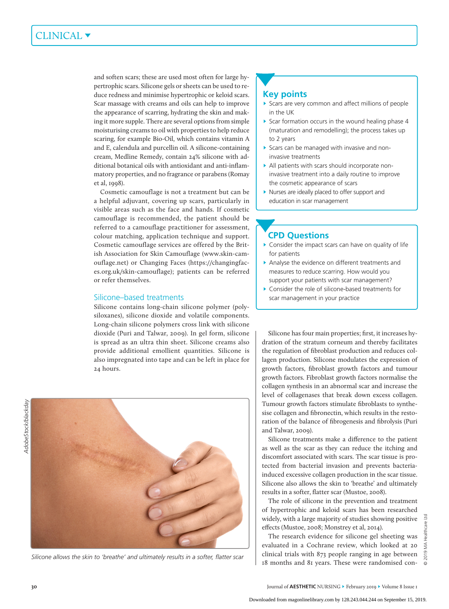# CLINICAL ▼

and soften scars; these are used most often for large hypertrophic scars. Silicone gels or sheets can be used to reduce redness and minimise hypertrophic or keloid scars. Scar massage with creams and oils can help to improve the appearance of scarring, hydrating the skin and making it more supple. There are several options from simple moisturising creams to oil with properties to help reduce scaring, for example Bio-Oil, which contains vitamin A and E, calendula and purcellin oil. A silicone-containing cream, Medline Remedy, contain 24% silicone with additional botanical oils with antioxidant and anti-inflammatory properties, and no fragrance or parabens (Romay et al, 1998).

Cosmetic camouflage is not a treatment but can be a helpful adjuvant, covering up scars, particularly in visible areas such as the face and hands. If cosmetic camouflage is recommended, the patient should be referred to a camouflage practitioner for assessment, colour matching, application technique and support. Cosmetic camouflage services are offered by the British Association for Skin Camouflage (www.skin-camouflage.net) or Changing Faces (https://changingfaces.org.uk/skin-camouflage); patients can be referred or refer themselves.

## Silicone–based treatments

Silicone contains long-chain silicone polymer (polysiloxanes), silicone dioxide and volatile components. Long-chain silicone polymers cross link with silicone dioxide (Puri and Talwar, 2009). In gel form, silicone is spread as an ultra thin sheet. Silicone creams also provide additional emollient quantities. Silicone is also impregnated into tape and can be left in place for 24 hours.



*Silicone allows the skin to 'breathe' and ultimately results in a softer, flatter scar*

# **Key points**

- ► Scars are very common and affect millions of people in the UK
- ► Scar formation occurs in the wound healing phase 4 (maturation and remodelling); the process takes up to 2 years
- ► Scars can be managed with invasive and noninvasive treatments
- ► All patients with scars should incorporate noninvasive treatment into a daily routine to improve the cosmetic appearance of scars
- ► Nurses are ideally placed to offer support and education in scar management

# **CPD Questions**

- ► Consider the impact scars can have on quality of life for patients
- ► Analyse the evidence on different treatments and measures to reduce scarring. How would you support your patients with scar management?
- ► Consider the role of silicone-based treatments for scar management in your practice

Silicone has four main properties; first, it increases hydration of the stratum corneum and thereby facilitates the regulation of fibroblast production and reduces collagen production. Silicone modulates the expression of growth factors, fibroblast growth factors and tumour growth factors. Fibroblast growth factors normalise the collagen synthesis in an abnormal scar and increase the level of collagenases that break down excess collagen. Tumour growth factors stimulate fibroblasts to synthesise collagen and fibronectin, which results in the restoration of the balance of fibrogenesis and fibrolysis (Puri and Talwar, 2009).

Silicone treatments make a difference to the patient as well as the scar as they can reduce the itching and discomfort associated with scars. The scar tissue is protected from bacterial invasion and prevents bacteriainduced excessive collagen production in the scar tissue. Silicone also allows the skin to 'breathe' and ultimately results in a softer, flatter scar (Mustoe, 2008).

The role of silicone in the prevention and treatment of hypertrophic and keloid scars has been researched widely, with a large majority of studies showing positive effects (Mustoe, 2008; Monstrey et al, 2014).

The research evidence for silicone gel sheeting was evaluated in a Cochrane review, which looked at 20 clinical trials with 873 people ranging in age between 18 months and 81 years. These were randomised con-